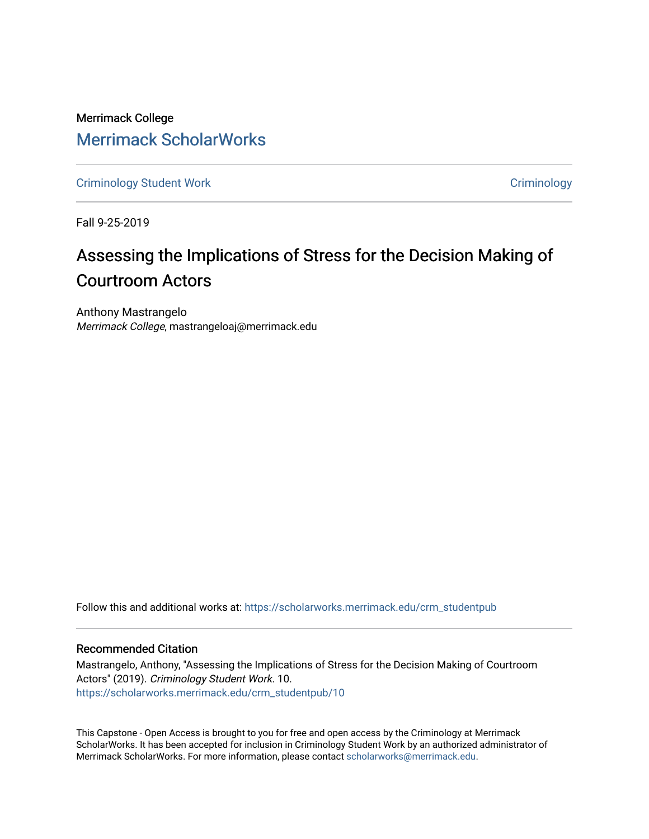Merrimack College [Merrimack ScholarWorks](https://scholarworks.merrimack.edu/) 

[Criminology Student Work](https://scholarworks.merrimack.edu/crm_studentpub) **Criminology** Criminology

Fall 9-25-2019

# Assessing the Implications of Stress for the Decision Making of Courtroom Actors

Anthony Mastrangelo Merrimack College, mastrangeloaj@merrimack.edu

Follow this and additional works at: [https://scholarworks.merrimack.edu/crm\\_studentpub](https://scholarworks.merrimack.edu/crm_studentpub?utm_source=scholarworks.merrimack.edu%2Fcrm_studentpub%2F10&utm_medium=PDF&utm_campaign=PDFCoverPages) 

# Recommended Citation

Mastrangelo, Anthony, "Assessing the Implications of Stress for the Decision Making of Courtroom Actors" (2019). Criminology Student Work. 10. [https://scholarworks.merrimack.edu/crm\\_studentpub/10](https://scholarworks.merrimack.edu/crm_studentpub/10?utm_source=scholarworks.merrimack.edu%2Fcrm_studentpub%2F10&utm_medium=PDF&utm_campaign=PDFCoverPages)

This Capstone - Open Access is brought to you for free and open access by the Criminology at Merrimack ScholarWorks. It has been accepted for inclusion in Criminology Student Work by an authorized administrator of Merrimack ScholarWorks. For more information, please contact [scholarworks@merrimack.edu](mailto:scholarworks@merrimack.edu).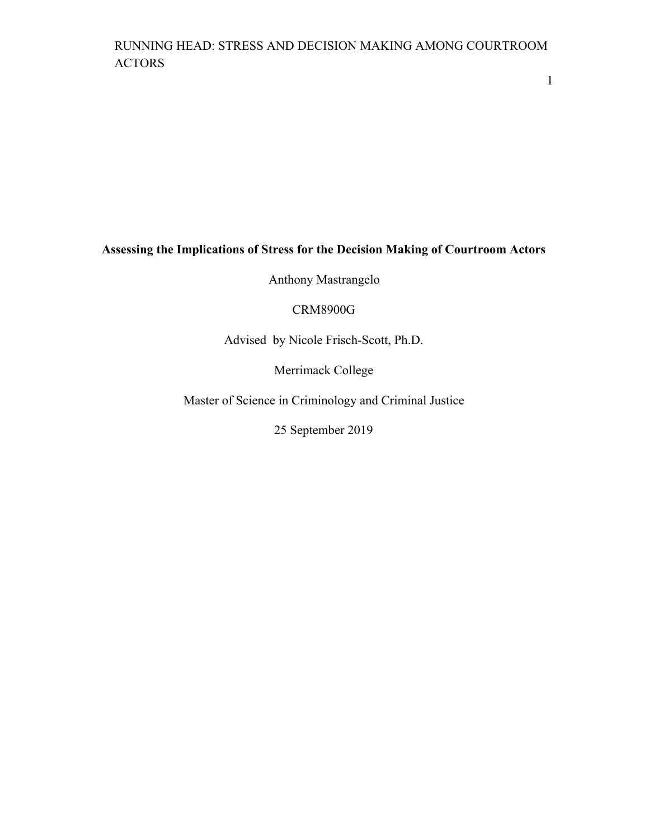1

# **Assessing the Implications of Stress for the Decision Making of Courtroom Actors**

Anthony Mastrangelo

# CRM8900G

Advised by Nicole Frisch-Scott, Ph.D.

Merrimack College

Master of Science in Criminology and Criminal Justice

25 September 2019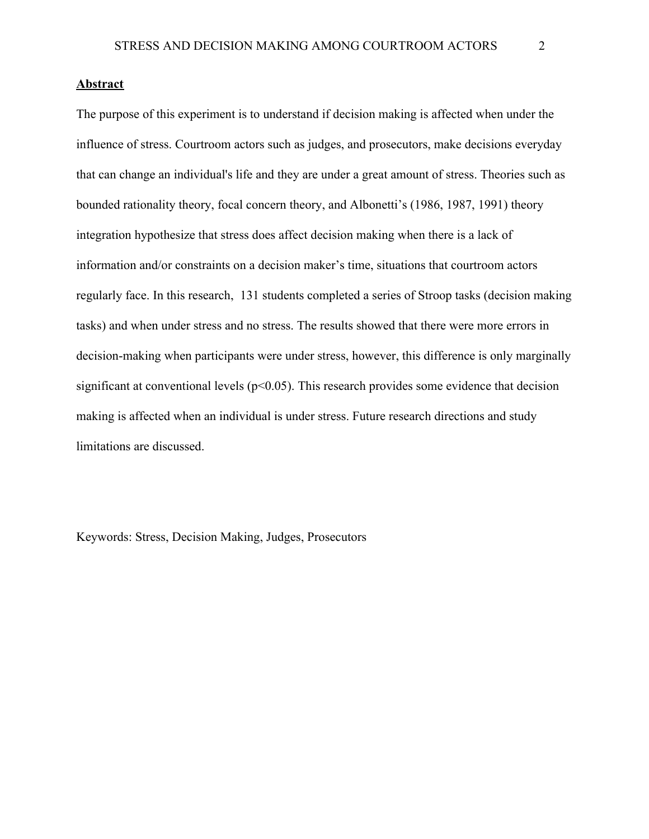# **Abstract**

The purpose of this experiment is to understand if decision making is affected when under the influence of stress. Courtroom actors such as judges, and prosecutors, make decisions everyday that can change an individual's life and they are under a great amount of stress. Theories such as bounded rationality theory, focal concern theory, and Albonetti's (1986, 1987, 1991) theory integration hypothesize that stress does affect decision making when there is a lack of information and/or constraints on a decision maker's time, situations that courtroom actors regularly face. In this research, 131 students completed a series of Stroop tasks (decision making tasks) and when under stress and no stress. The results showed that there were more errors in decision-making when participants were under stress, however, this difference is only marginally significant at conventional levels ( $p<0.05$ ). This research provides some evidence that decision making is affected when an individual is under stress. Future research directions and study limitations are discussed.

Keywords: Stress, Decision Making, Judges, Prosecutors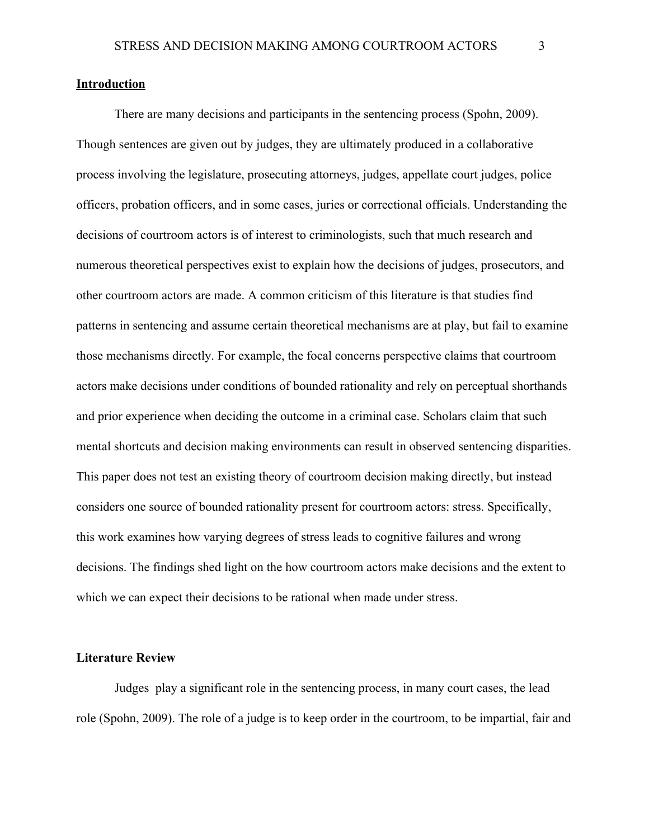# **Introduction**

There are many decisions and participants in the sentencing process (Spohn, 2009). Though sentences are given out by judges, they are ultimately produced in a collaborative process involving the legislature, prosecuting attorneys, judges, appellate court judges, police officers, probation officers, and in some cases, juries or correctional officials. Understanding the decisions of courtroom actors is of interest to criminologists, such that much research and numerous theoretical perspectives exist to explain how the decisions of judges, prosecutors, and other courtroom actors are made. A common criticism of this literature is that studies find patterns in sentencing and assume certain theoretical mechanisms are at play, but fail to examine those mechanisms directly. For example, the focal concerns perspective claims that courtroom actors make decisions under conditions of bounded rationality and rely on perceptual shorthands and prior experience when deciding the outcome in a criminal case. Scholars claim that such mental shortcuts and decision making environments can result in observed sentencing disparities. This paper does not test an existing theory of courtroom decision making directly, but instead considers one source of bounded rationality present for courtroom actors: stress. Specifically, this work examines how varying degrees of stress leads to cognitive failures and wrong decisions. The findings shed light on the how courtroom actors make decisions and the extent to which we can expect their decisions to be rational when made under stress.

# **Literature Review**

Judges play a significant role in the sentencing process, in many court cases, the lead role (Spohn, 2009). The role of a judge is to keep order in the courtroom, to be impartial, fair and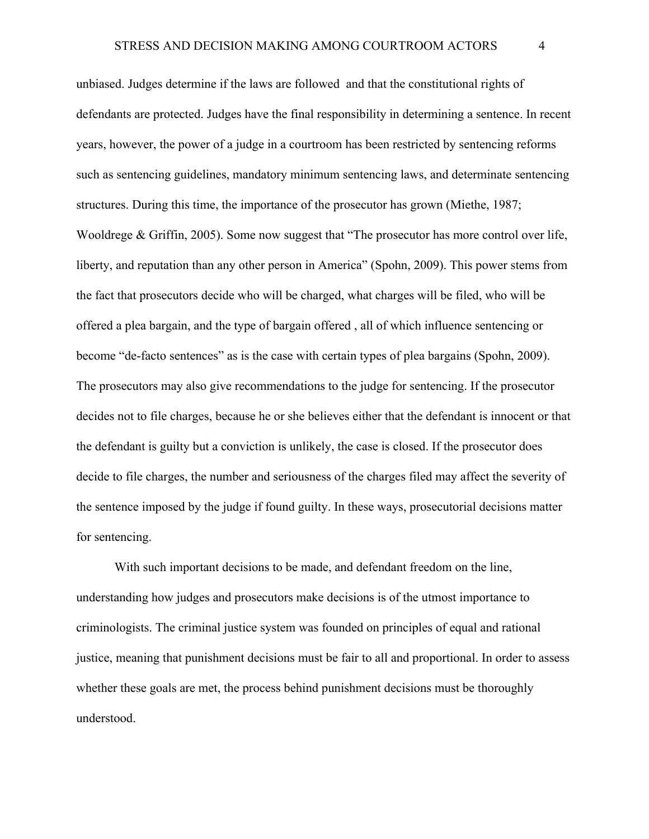unbiased. Judges determine if the laws are followed and that the constitutional rights of defendants are protected. Judges have the final responsibility in determining a sentence. In recent years, however, the power of a judge in a courtroom has been restricted by sentencing reforms such as sentencing guidelines, mandatory minimum sentencing laws, and determinate sentencing structures. During this time, the importance of the prosecutor has grown (Miethe, 1987; Wooldrege & Griffin, 2005). Some now suggest that "The prosecutor has more control over life, liberty, and reputation than any other person in America" (Spohn, 2009). This power stems from the fact that prosecutors decide who will be charged, what charges will be filed, who will be offered a plea bargain, and the type of bargain offered , all of which influence sentencing or become "de-facto sentences" as is the case with certain types of plea bargains (Spohn, 2009). The prosecutors may also give recommendations to the judge for sentencing. If the prosecutor decides not to file charges, because he or she believes either that the defendant is innocent or that the defendant is guilty but a conviction is unlikely, the case is closed. If the prosecutor does decide to file charges, the number and seriousness of the charges filed may affect the severity of the sentence imposed by the judge if found guilty. In these ways, prosecutorial decisions matter for sentencing.

With such important decisions to be made, and defendant freedom on the line, understanding how judges and prosecutors make decisions is of the utmost importance to criminologists. The criminal justice system was founded on principles of equal and rational justice, meaning that punishment decisions must be fair to all and proportional. In order to assess whether these goals are met, the process behind punishment decisions must be thoroughly understood.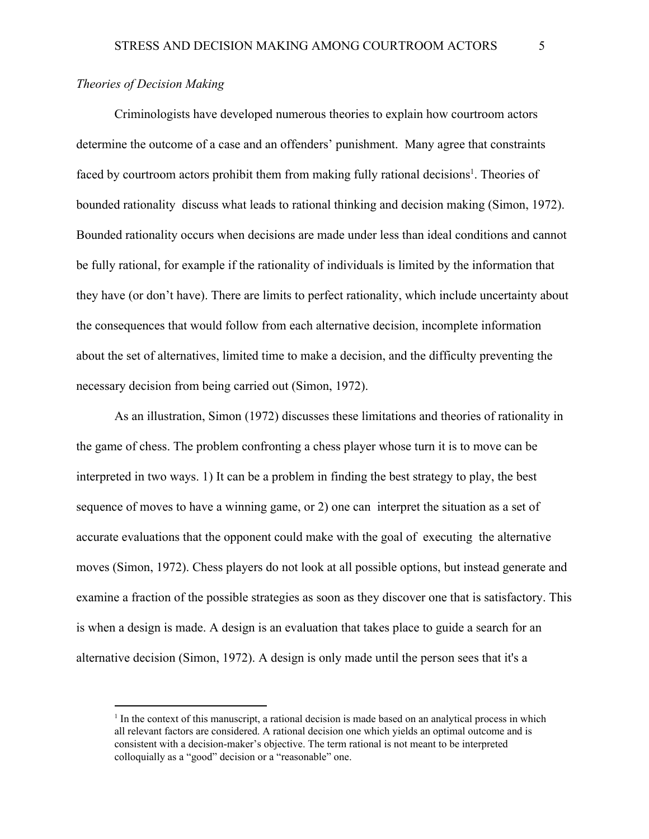# *Theories of Decision Making*

Criminologists have developed numerous theories to explain how courtroom actors determine the outcome of a case and an offenders' punishment. Many agree that constraints faced by courtroom actors prohibit them from making fully rational decisions<sup>1</sup>. Theories of bounded rationality discuss what leads to rational thinking and decision making (Simon, 1972). Bounded rationality occurs when decisions are made under less than ideal conditions and cannot be fully rational, for example if the rationality of individuals is limited by the information that they have (or don't have). There are limits to perfect rationality, which include uncertainty about the consequences that would follow from each alternative decision, incomplete information about the set of alternatives, limited time to make a decision, and the difficulty preventing the necessary decision from being carried out (Simon, 1972).

As an illustration, Simon (1972) discusses these limitations and theories of rationality in the game of chess. The problem confronting a chess player whose turn it is to move can be interpreted in two ways. 1) It can be a problem in finding the best strategy to play, the best sequence of moves to have a winning game, or 2) one can interpret the situation as a set of accurate evaluations that the opponent could make with the goal of executing the alternative moves (Simon, 1972). Chess players do not look at all possible options, but instead generate and examine a fraction of the possible strategies as soon as they discover one that is satisfactory. This is when a design is made. A design is an evaluation that takes place to guide a search for an alternative decision (Simon, 1972). A design is only made until the person sees that it's a

<sup>&</sup>lt;sup>1</sup> In the context of this manuscript, a rational decision is made based on an analytical process in which all relevant factors are considered. A rational decision one which yields an optimal outcome and is consistent with a decision-maker's objective. The term rational is not meant to be interpreted colloquially as a "good" decision or a "reasonable" one.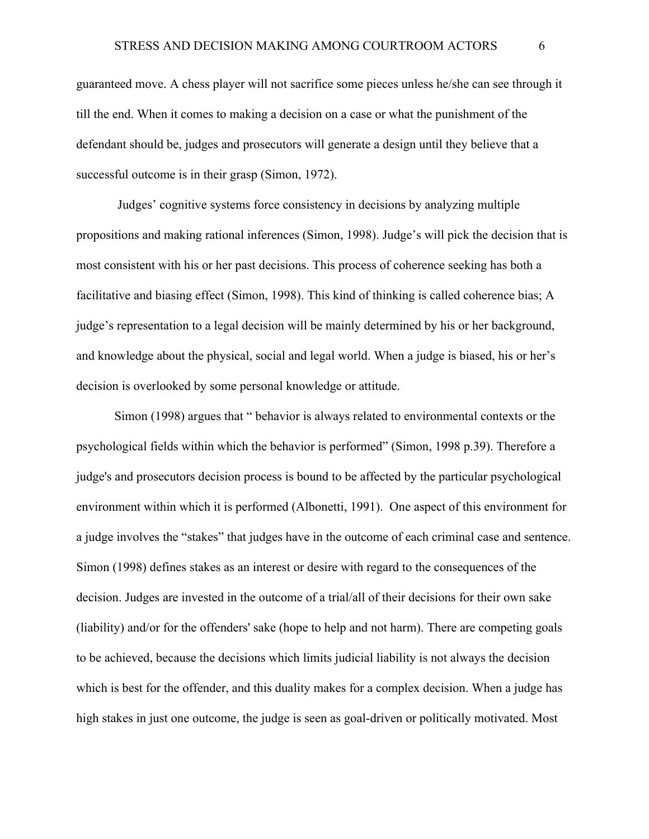guaranteed move. A chess player will not sacrifice some pieces unless he/she can see through it till the end. When it comes to making a decision on a case or what the punishment of the defendant should be, judges and prosecutors will generate a design until they believe that a successful outcome is in their grasp (Simon, 1972).

 Judges' cognitive systems force consistency in decisions by analyzing multiple propositions and making rational inferences (Simon, 1998). Judge's will pick the decision that is most consistent with his or her past decisions. This process of coherence seeking has both a facilitative and biasing effect (Simon, 1998). This kind of thinking is called coherence bias; A judge's representation to a legal decision will be mainly determined by his or her background, and knowledge about the physical, social and legal world. When a judge is biased, his or her's decision is overlooked by some personal knowledge or attitude.

Simon (1998) argues that " behavior is always related to environmental contexts or the psychological fields within which the behavior is performed" (Simon, 1998 p.39). Therefore a judge's and prosecutors decision process is bound to be affected by the particular psychological environment within which it is performed (Albonetti, 1991). One aspect of this environment for a judge involves the "stakes" that judges have in the outcome of each criminal case and sentence. Simon (1998) defines stakes as an interest or desire with regard to the consequences of the decision. Judges are invested in the outcome of a trial/all of their decisions for their own sake (liability) and/or for the offenders' sake (hope to help and not harm). There are competing goals to be achieved, because the decisions which limits judicial liability is not always the decision which is best for the offender, and this duality makes for a complex decision. When a judge has high stakes in just one outcome, the judge is seen as goal-driven or politically motivated. Most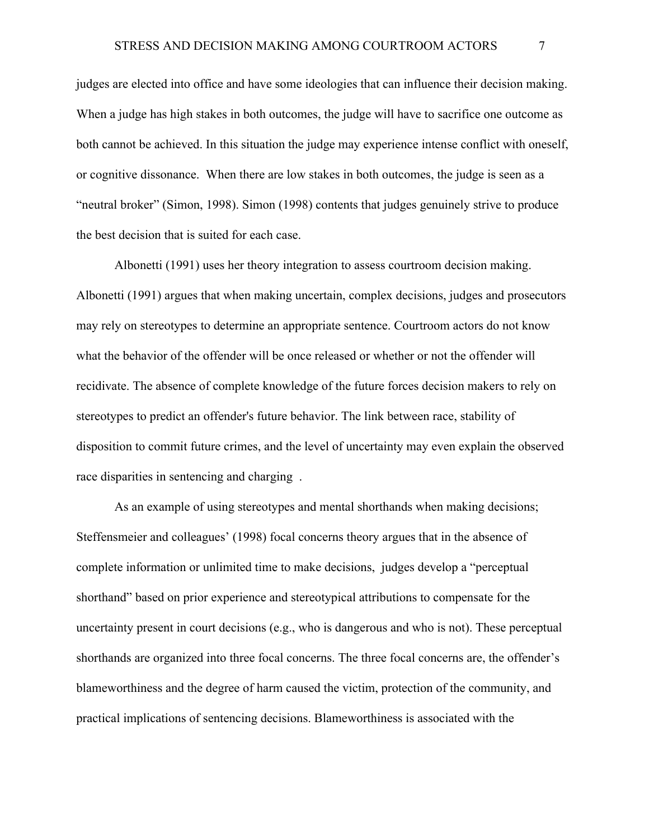judges are elected into office and have some ideologies that can influence their decision making. When a judge has high stakes in both outcomes, the judge will have to sacrifice one outcome as both cannot be achieved. In this situation the judge may experience intense conflict with oneself, or cognitive dissonance. When there are low stakes in both outcomes, the judge is seen as a "neutral broker" (Simon, 1998). Simon (1998) contents that judges genuinely strive to produce the best decision that is suited for each case.

Albonetti (1991) uses her theory integration to assess courtroom decision making. Albonetti (1991) argues that when making uncertain, complex decisions, judges and prosecutors may rely on stereotypes to determine an appropriate sentence. Courtroom actors do not know what the behavior of the offender will be once released or whether or not the offender will recidivate. The absence of complete knowledge of the future forces decision makers to rely on stereotypes to predict an offender's future behavior. The link between race, stability of disposition to commit future crimes, and the level of uncertainty may even explain the observed race disparities in sentencing and charging .

As an example of using stereotypes and mental shorthands when making decisions; Steffensmeier and colleagues' (1998) focal concerns theory argues that in the absence of complete information or unlimited time to make decisions, judges develop a "perceptual shorthand" based on prior experience and stereotypical attributions to compensate for the uncertainty present in court decisions (e.g., who is dangerous and who is not). These perceptual shorthands are organized into three focal concerns. The three focal concerns are, the offender's blameworthiness and the degree of harm caused the victim, protection of the community, and practical implications of sentencing decisions. Blameworthiness is associated with the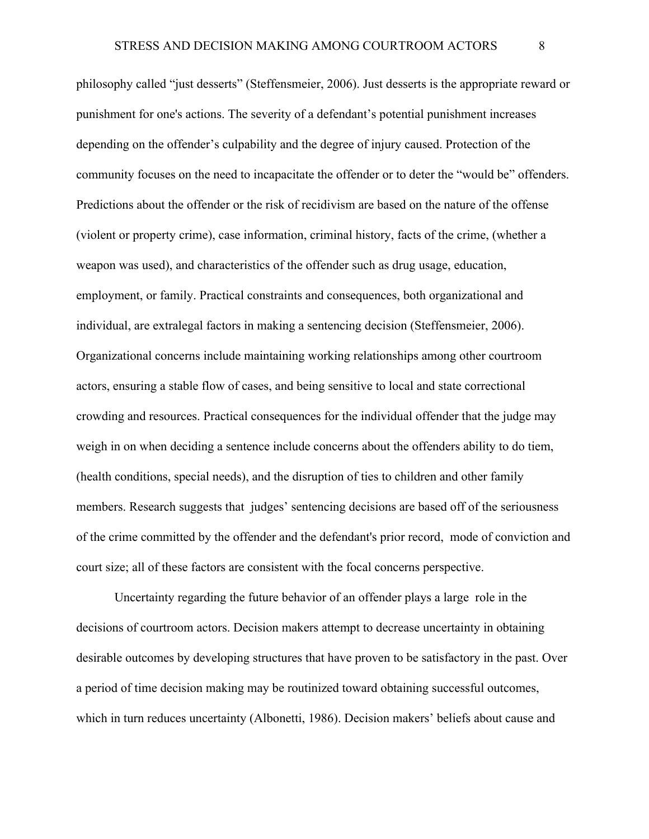philosophy called "just desserts" (Steffensmeier, 2006). Just desserts is the appropriate reward or punishment for one's actions. The severity of a defendant's potential punishment increases depending on the offender's culpability and the degree of injury caused. Protection of the community focuses on the need to incapacitate the offender or to deter the "would be" offenders. Predictions about the offender or the risk of recidivism are based on the nature of the offense (violent or property crime), case information, criminal history, facts of the crime, (whether a weapon was used), and characteristics of the offender such as drug usage, education, employment, or family. Practical constraints and consequences, both organizational and individual, are extralegal factors in making a sentencing decision (Steffensmeier, 2006). Organizational concerns include maintaining working relationships among other courtroom actors, ensuring a stable flow of cases, and being sensitive to local and state correctional crowding and resources. Practical consequences for the individual offender that the judge may weigh in on when deciding a sentence include concerns about the offenders ability to do tiem, (health conditions, special needs), and the disruption of ties to children and other family members. Research suggests that judges' sentencing decisions are based off of the seriousness of the crime committed by the offender and the defendant's prior record, mode of conviction and court size; all of these factors are consistent with the focal concerns perspective.

Uncertainty regarding the future behavior of an offender plays a large role in the decisions of courtroom actors. Decision makers attempt to decrease uncertainty in obtaining desirable outcomes by developing structures that have proven to be satisfactory in the past. Over a period of time decision making may be routinized toward obtaining successful outcomes, which in turn reduces uncertainty (Albonetti, 1986). Decision makers' beliefs about cause and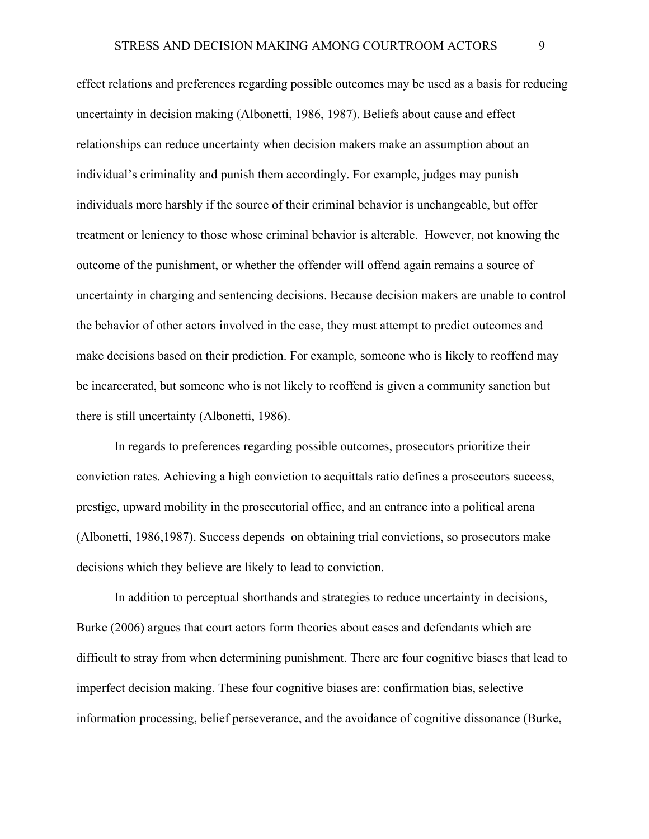effect relations and preferences regarding possible outcomes may be used as a basis for reducing uncertainty in decision making (Albonetti, 1986, 1987). Beliefs about cause and effect relationships can reduce uncertainty when decision makers make an assumption about an individual's criminality and punish them accordingly. For example, judges may punish individuals more harshly if the source of their criminal behavior is unchangeable, but offer treatment or leniency to those whose criminal behavior is alterable. However, not knowing the outcome of the punishment, or whether the offender will offend again remains a source of uncertainty in charging and sentencing decisions. Because decision makers are unable to control the behavior of other actors involved in the case, they must attempt to predict outcomes and make decisions based on their prediction. For example, someone who is likely to reoffend may be incarcerated, but someone who is not likely to reoffend is given a community sanction but there is still uncertainty (Albonetti, 1986).

In regards to preferences regarding possible outcomes, prosecutors prioritize their conviction rates. Achieving a high conviction to acquittals ratio defines a prosecutors success, prestige, upward mobility in the prosecutorial office, and an entrance into a political arena (Albonetti, 1986,1987). Success depends on obtaining trial convictions, so prosecutors make decisions which they believe are likely to lead to conviction.

In addition to perceptual shorthands and strategies to reduce uncertainty in decisions, Burke (2006) argues that court actors form theories about cases and defendants which are difficult to stray from when determining punishment. There are four cognitive biases that lead to imperfect decision making. These four cognitive biases are: confirmation bias, selective information processing, belief perseverance, and the avoidance of cognitive dissonance (Burke,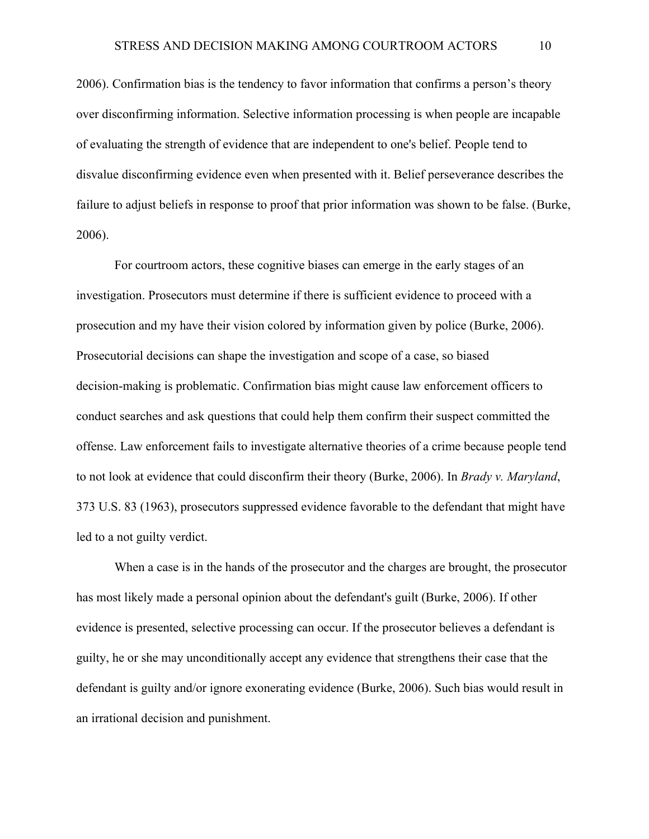2006). Confirmation bias is the tendency to favor information that confirms a person's theory over disconfirming information. Selective information processing is when people are incapable of evaluating the strength of evidence that are independent to one's belief. People tend to disvalue disconfirming evidence even when presented with it. Belief perseverance describes the failure to adjust beliefs in response to proof that prior information was shown to be false. (Burke, 2006).

For courtroom actors, these cognitive biases can emerge in the early stages of an investigation. Prosecutors must determine if there is sufficient evidence to proceed with a prosecution and my have their vision colored by information given by police (Burke, 2006). Prosecutorial decisions can shape the investigation and scope of a case, so biased decision-making is problematic. Confirmation bias might cause law enforcement officers to conduct searches and ask questions that could help them confirm their suspect committed the offense. Law enforcement fails to investigate alternative theories of a crime because people tend to not look at evidence that could disconfirm their theory (Burke, 2006). In *Brady v. Maryland*, 373 U.S. 83 (1963), prosecutors suppressed evidence favorable to the defendant that might have led to a not guilty verdict.

When a case is in the hands of the prosecutor and the charges are brought, the prosecutor has most likely made a personal opinion about the defendant's guilt (Burke, 2006). If other evidence is presented, selective processing can occur. If the prosecutor believes a defendant is guilty, he or she may unconditionally accept any evidence that strengthens their case that the defendant is guilty and/or ignore exonerating evidence (Burke, 2006). Such bias would result in an irrational decision and punishment.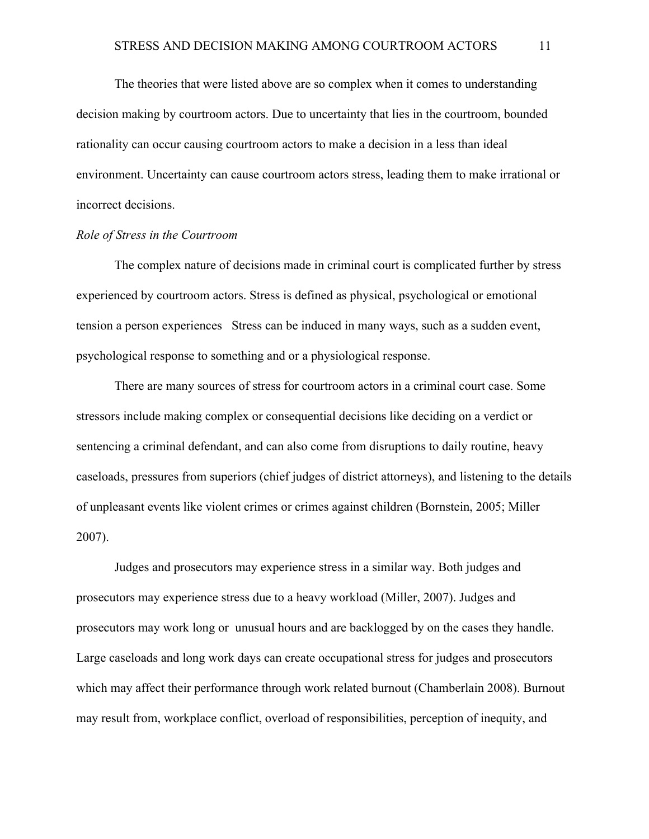The theories that were listed above are so complex when it comes to understanding decision making by courtroom actors. Due to uncertainty that lies in the courtroom, bounded rationality can occur causing courtroom actors to make a decision in a less than ideal environment. Uncertainty can cause courtroom actors stress, leading them to make irrational or incorrect decisions.

## *Role of Stress in the Courtroom*

The complex nature of decisions made in criminal court is complicated further by stress experienced by courtroom actors. Stress is defined as physical, psychological or emotional tension a person experiences Stress can be induced in many ways, such as a sudden event, psychological response to something and or a physiological response.

There are many sources of stress for courtroom actors in a criminal court case. Some stressors include making complex or consequential decisions like deciding on a verdict or sentencing a criminal defendant, and can also come from disruptions to daily routine, heavy caseloads, pressures from superiors (chief judges of district attorneys), and listening to the details of unpleasant events like violent crimes or crimes against children (Bornstein, 2005; Miller 2007).

Judges and prosecutors may experience stress in a similar way. Both judges and prosecutors may experience stress due to a heavy workload (Miller, 2007). Judges and prosecutors may work long or unusual hours and are backlogged by on the cases they handle. Large caseloads and long work days can create occupational stress for judges and prosecutors which may affect their performance through work related burnout (Chamberlain 2008). Burnout may result from, workplace conflict, overload of responsibilities, perception of inequity, and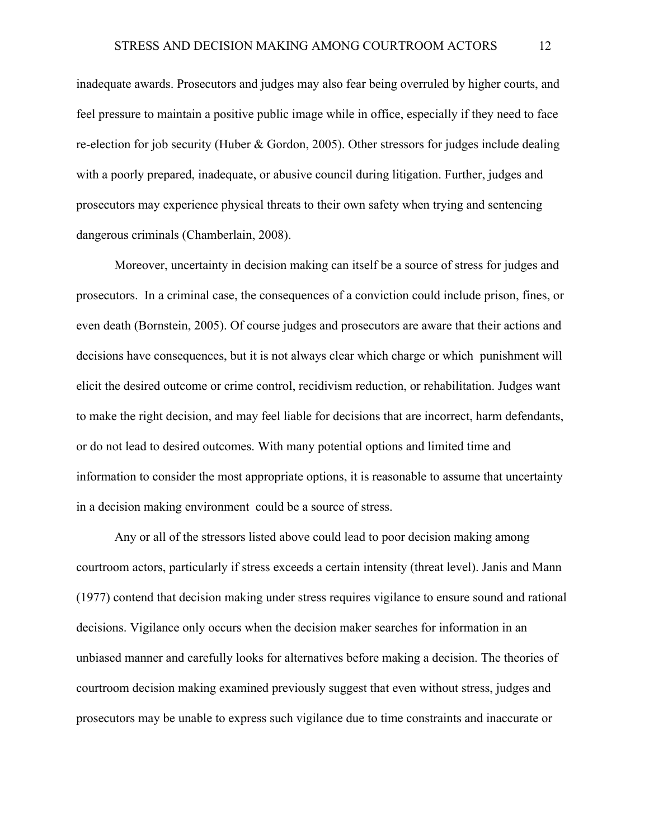inadequate awards. Prosecutors and judges may also fear being overruled by higher courts, and feel pressure to maintain a positive public image while in office, especially if they need to face re-election for job security (Huber & Gordon, 2005). Other stressors for judges include dealing with a poorly prepared, inadequate, or abusive council during litigation. Further, judges and prosecutors may experience physical threats to their own safety when trying and sentencing dangerous criminals (Chamberlain, 2008).

Moreover, uncertainty in decision making can itself be a source of stress for judges and prosecutors. In a criminal case, the consequences of a conviction could include prison, fines, or even death (Bornstein, 2005). Of course judges and prosecutors are aware that their actions and decisions have consequences, but it is not always clear which charge or which punishment will elicit the desired outcome or crime control, recidivism reduction, or rehabilitation. Judges want to make the right decision, and may feel liable for decisions that are incorrect, harm defendants, or do not lead to desired outcomes. With many potential options and limited time and information to consider the most appropriate options, it is reasonable to assume that uncertainty in a decision making environment could be a source of stress.

Any or all of the stressors listed above could lead to poor decision making among courtroom actors, particularly if stress exceeds a certain intensity (threat level). Janis and Mann (1977) contend that decision making under stress requires vigilance to ensure sound and rational decisions. Vigilance only occurs when the decision maker searches for information in an unbiased manner and carefully looks for alternatives before making a decision. The theories of courtroom decision making examined previously suggest that even without stress, judges and prosecutors may be unable to express such vigilance due to time constraints and inaccurate or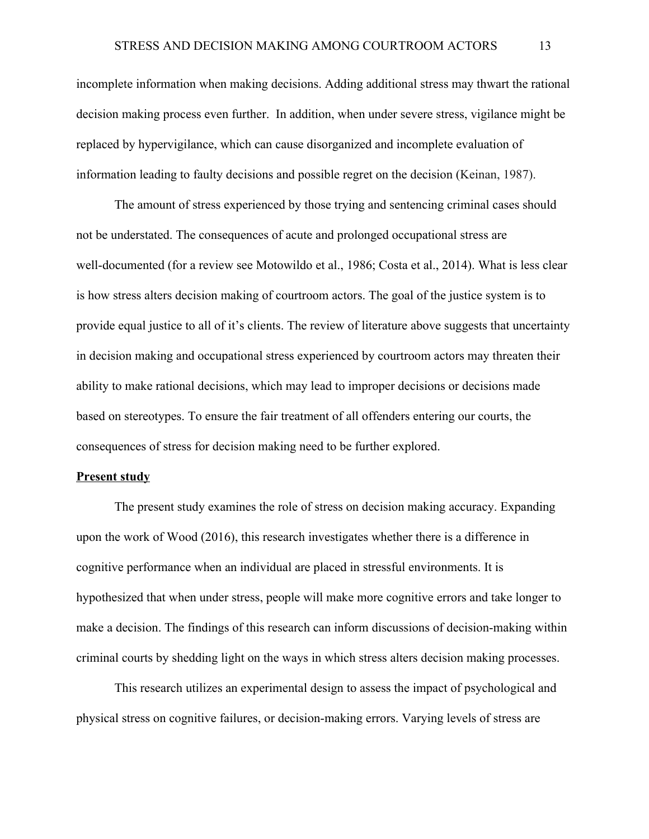incomplete information when making decisions. Adding additional stress may thwart the rational decision making process even further. In addition, when under severe stress, vigilance might be replaced by hypervigilance, which can cause disorganized and incomplete evaluation of information leading to faulty decisions and possible regret on the decision (Keinan, 1987).

The amount of stress experienced by those trying and sentencing criminal cases should not be understated. The consequences of acute and prolonged occupational stress are well-documented (for a review see Motowildo et al., 1986; Costa et al., 2014). What is less clear is how stress alters decision making of courtroom actors. The goal of the justice system is to provide equal justice to all of it's clients. The review of literature above suggests that uncertainty in decision making and occupational stress experienced by courtroom actors may threaten their ability to make rational decisions, which may lead to improper decisions or decisions made based on stereotypes. To ensure the fair treatment of all offenders entering our courts, the consequences of stress for decision making need to be further explored.

# **Present study**

The present study examines the role of stress on decision making accuracy. Expanding upon the work of Wood (2016), this research investigates whether there is a difference in cognitive performance when an individual are placed in stressful environments. It is hypothesized that when under stress, people will make more cognitive errors and take longer to make a decision. The findings of this research can inform discussions of decision-making within criminal courts by shedding light on the ways in which stress alters decision making processes.

This research utilizes an experimental design to assess the impact of psychological and physical stress on cognitive failures, or decision-making errors. Varying levels of stress are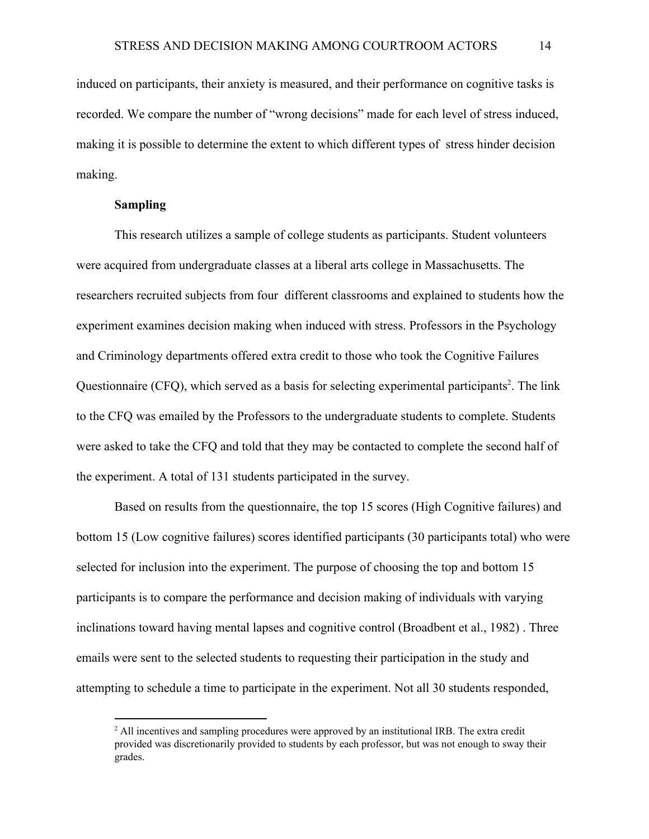induced on participants, their anxiety is measured, and their performance on cognitive tasks is recorded. We compare the number of "wrong decisions" made for each level of stress induced, making it is possible to determine the extent to which different types of stress hinder decision making.

## **Sampling**

This research utilizes a sample of college students as participants. Student volunteers were acquired from undergraduate classes at a liberal arts college in Massachusetts. The researchers recruited subjects from four different classrooms and explained to students how the experiment examines decision making when induced with stress. Professors in the Psychology and Criminology departments offered extra credit to those who took the Cognitive Failures Questionnaire (CFQ), which served as a basis for selecting experimental participants<sup>2</sup>. The link to the CFQ was emailed by the Professors to the undergraduate students to complete. Students were asked to take the CFQ and told that they may be contacted to complete the second half of the experiment. A total of 131 students participated in the survey.

Based on results from the questionnaire, the top 15 scores (High Cognitive failures) and bottom 15 (Low cognitive failures) scores identified participants (30 participants total) who were selected for inclusion into the experiment. The purpose of choosing the top and bottom 15 participants is to compare the performance and decision making of individuals with varying inclinations toward having mental lapses and cognitive control (Broadbent et al., 1982) . Three emails were sent to the selected students to requesting their participation in the study and attempting to schedule a time to participate in the experiment. Not all 30 students responded,

 $<sup>2</sup>$  All incentives and sampling procedures were approved by an institutional IRB. The extra credit</sup> provided was discretionarily provided to students by each professor, but was not enough to sway their grades.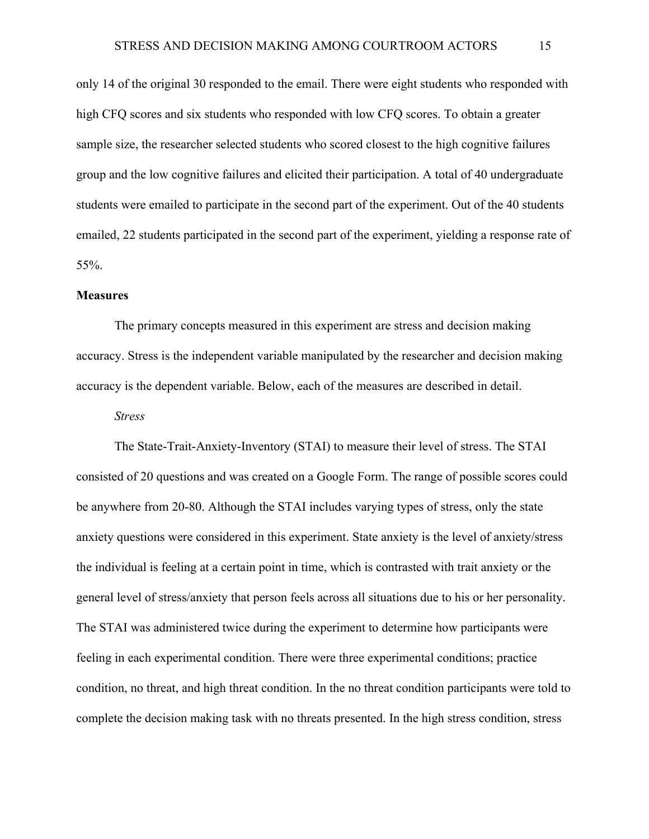only 14 of the original 30 responded to the email. There were eight students who responded with high CFQ scores and six students who responded with low CFQ scores. To obtain a greater sample size, the researcher selected students who scored closest to the high cognitive failures group and the low cognitive failures and elicited their participation. A total of 40 undergraduate students were emailed to participate in the second part of the experiment. Out of the 40 students emailed, 22 students participated in the second part of the experiment, yielding a response rate of 55%.

## **Measures**

The primary concepts measured in this experiment are stress and decision making accuracy. Stress is the independent variable manipulated by the researcher and decision making accuracy is the dependent variable. Below, each of the measures are described in detail.

## *Stress*

The State-Trait-Anxiety-Inventory (STAI) to measure their level of stress. The STAI consisted of 20 questions and was created on a Google Form. The range of possible scores could be anywhere from 20-80. Although the STAI includes varying types of stress, only the state anxiety questions were considered in this experiment. State anxiety is the level of anxiety/stress the individual is feeling at a certain point in time, which is contrasted with trait anxiety or the general level of stress/anxiety that person feels across all situations due to his or her personality. The STAI was administered twice during the experiment to determine how participants were feeling in each experimental condition. There were three experimental conditions; practice condition, no threat, and high threat condition. In the no threat condition participants were told to complete the decision making task with no threats presented. In the high stress condition, stress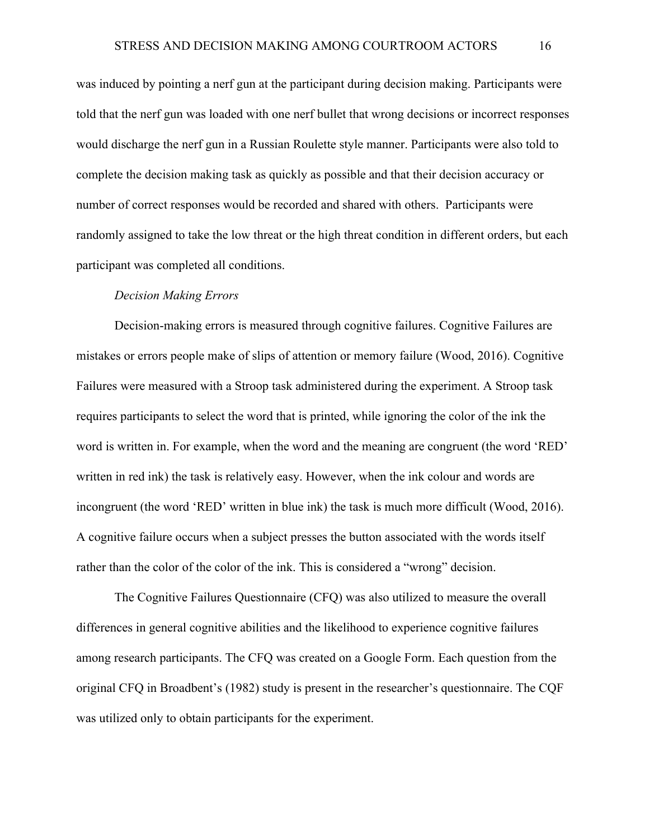was induced by pointing a nerf gun at the participant during decision making. Participants were told that the nerf gun was loaded with one nerf bullet that wrong decisions or incorrect responses would discharge the nerf gun in a Russian Roulette style manner. Participants were also told to complete the decision making task as quickly as possible and that their decision accuracy or number of correct responses would be recorded and shared with others. Participants were randomly assigned to take the low threat or the high threat condition in different orders, but each participant was completed all conditions.

#### *Decision Making Errors*

Decision-making errors is measured through cognitive failures. Cognitive Failures are mistakes or errors people make of slips of attention or memory failure (Wood, 2016). Cognitive Failures were measured with a Stroop task administered during the experiment. A Stroop task requires participants to select the word that is printed, while ignoring the color of the ink the word is written in. For example, when the word and the meaning are congruent (the word 'RED' written in red ink) the task is relatively easy. However, when the ink colour and words are incongruent (the word 'RED' written in blue ink) the task is much more difficult (Wood, 2016). A cognitive failure occurs when a subject presses the button associated with the words itself rather than the color of the color of the ink. This is considered a "wrong" decision.

The Cognitive Failures Questionnaire (CFQ) was also utilized to measure the overall differences in general cognitive abilities and the likelihood to experience cognitive failures among research participants. The CFQ was created on a Google Form. Each question from the original CFQ in Broadbent's (1982) study is present in the researcher's questionnaire. The CQF was utilized only to obtain participants for the experiment.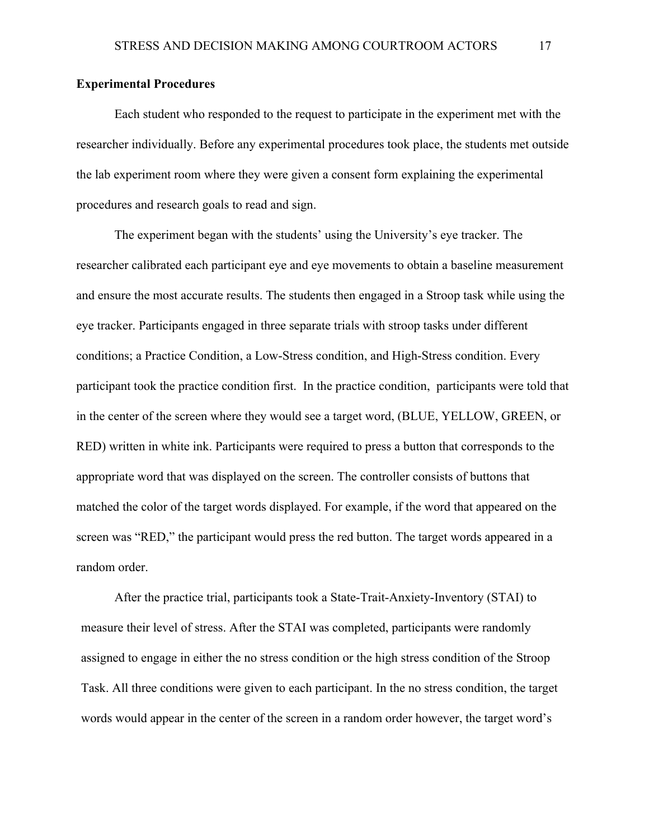# **Experimental Procedures**

Each student who responded to the request to participate in the experiment met with the researcher individually. Before any experimental procedures took place, the students met outside the lab experiment room where they were given a consent form explaining the experimental procedures and research goals to read and sign.

The experiment began with the students' using the University's eye tracker. The researcher calibrated each participant eye and eye movements to obtain a baseline measurement and ensure the most accurate results. The students then engaged in a Stroop task while using the eye tracker. Participants engaged in three separate trials with stroop tasks under different conditions; a Practice Condition, a Low-Stress condition, and High-Stress condition. Every participant took the practice condition first. In the practice condition, participants were told that in the center of the screen where they would see a target word, (BLUE, YELLOW, GREEN, or RED) written in white ink. Participants were required to press a button that corresponds to the appropriate word that was displayed on the screen. The controller consists of buttons that matched the color of the target words displayed. For example, if the word that appeared on the screen was "RED," the participant would press the red button. The target words appeared in a random order.

After the practice trial, participants took a State-Trait-Anxiety-Inventory (STAI) to measure their level of stress. After the STAI was completed, participants were randomly assigned to engage in either the no stress condition or the high stress condition of the Stroop Task. All three conditions were given to each participant. In the no stress condition, the target words would appear in the center of the screen in a random order however, the target word's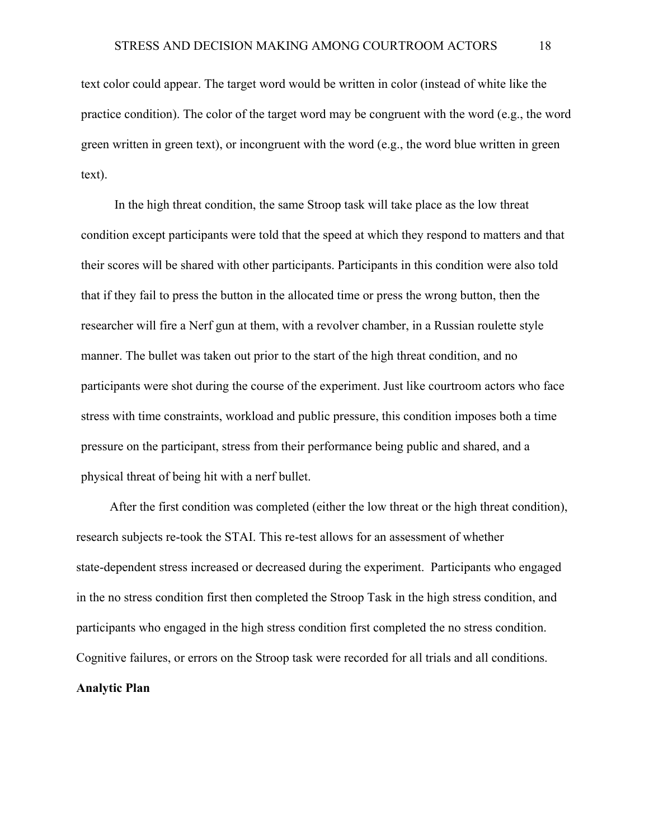text color could appear. The target word would be written in color (instead of white like the practice condition). The color of the target word may be congruent with the word (e.g., the word green written in green text), or incongruent with the word (e.g., the word blue written in green text).

In the high threat condition, the same Stroop task will take place as the low threat condition except participants were told that the speed at which they respond to matters and that their scores will be shared with other participants. Participants in this condition were also told that if they fail to press the button in the allocated time or press the wrong button, then the researcher will fire a Nerf gun at them, with a revolver chamber, in a Russian roulette style manner. The bullet was taken out prior to the start of the high threat condition, and no participants were shot during the course of the experiment. Just like courtroom actors who face stress with time constraints, workload and public pressure, this condition imposes both a time pressure on the participant, stress from their performance being public and shared, and a physical threat of being hit with a nerf bullet.

After the first condition was completed (either the low threat or the high threat condition), research subjects re-took the STAI. This re-test allows for an assessment of whether state-dependent stress increased or decreased during the experiment. Participants who engaged in the no stress condition first then completed the Stroop Task in the high stress condition, and participants who engaged in the high stress condition first completed the no stress condition. Cognitive failures, or errors on the Stroop task were recorded for all trials and all conditions. **Analytic Plan**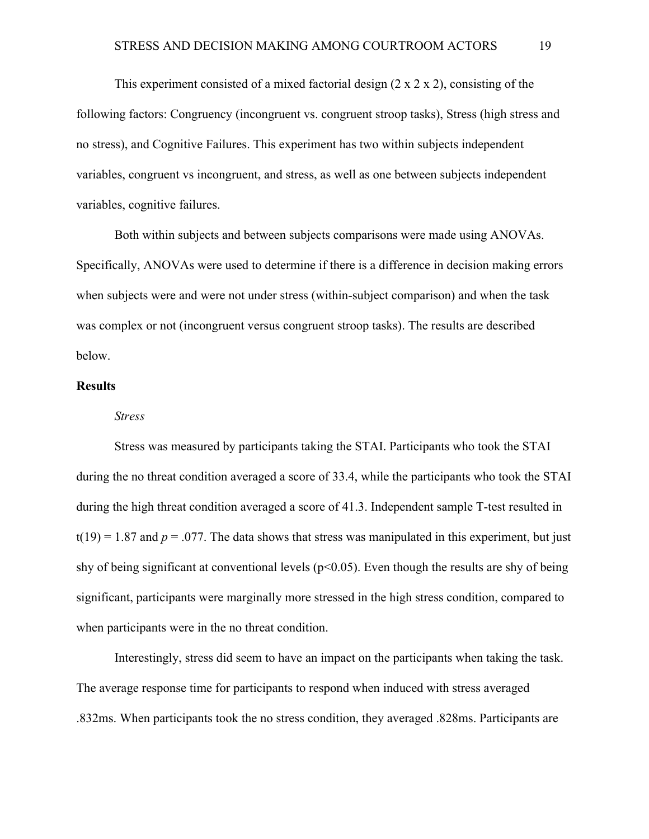This experiment consisted of a mixed factorial design  $(2 \times 2 \times 2)$ , consisting of the following factors: Congruency (incongruent vs. congruent stroop tasks), Stress (high stress and no stress), and Cognitive Failures. This experiment has two within subjects independent variables, congruent vs incongruent, and stress, as well as one between subjects independent variables, cognitive failures.

Both within subjects and between subjects comparisons were made using ANOVAs. Specifically, ANOVAs were used to determine if there is a difference in decision making errors when subjects were and were not under stress (within-subject comparison) and when the task was complex or not (incongruent versus congruent stroop tasks). The results are described below.

# **Results**

#### *Stress*

Stress was measured by participants taking the STAI. Participants who took the STAI during the no threat condition averaged a score of 33.4, while the participants who took the STAI during the high threat condition averaged a score of 41.3. Independent sample T-test resulted in  $t(19) = 1.87$  and  $p = .077$ . The data shows that stress was manipulated in this experiment, but just shy of being significant at conventional levels ( $p<0.05$ ). Even though the results are shy of being significant, participants were marginally more stressed in the high stress condition, compared to when participants were in the no threat condition.

Interestingly, stress did seem to have an impact on the participants when taking the task. The average response time for participants to respond when induced with stress averaged .832ms. When participants took the no stress condition, they averaged .828ms. Participants are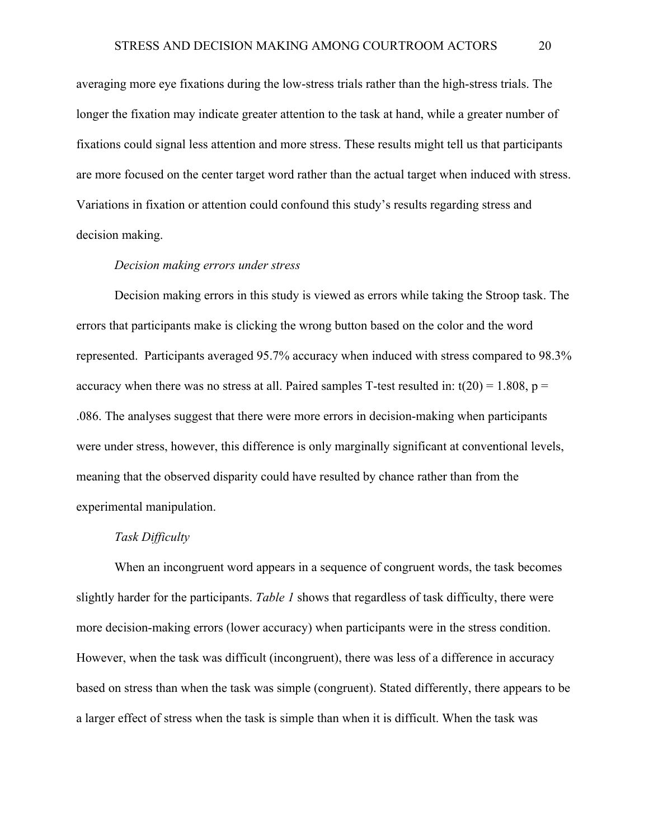averaging more eye fixations during the low-stress trials rather than the high-stress trials. The longer the fixation may indicate greater attention to the task at hand, while a greater number of fixations could signal less attention and more stress. These results might tell us that participants are more focused on the center target word rather than the actual target when induced with stress. Variations in fixation or attention could confound this study's results regarding stress and decision making.

## *Decision making errors under stress*

Decision making errors in this study is viewed as errors while taking the Stroop task. The errors that participants make is clicking the wrong button based on the color and the word represented. Participants averaged 95.7% accuracy when induced with stress compared to 98.3% accuracy when there was no stress at all. Paired samples T-test resulted in:  $t(20) = 1.808$ ,  $p =$ .086. The analyses suggest that there were more errors in decision-making when participants were under stress, however, this difference is only marginally significant at conventional levels, meaning that the observed disparity could have resulted by chance rather than from the experimental manipulation.

# *Task Difficulty*

When an incongruent word appears in a sequence of congruent words, the task becomes slightly harder for the participants. *Table 1* shows that regardless of task difficulty, there were more decision-making errors (lower accuracy) when participants were in the stress condition. However, when the task was difficult (incongruent), there was less of a difference in accuracy based on stress than when the task was simple (congruent). Stated differently, there appears to be a larger effect of stress when the task is simple than when it is difficult. When the task was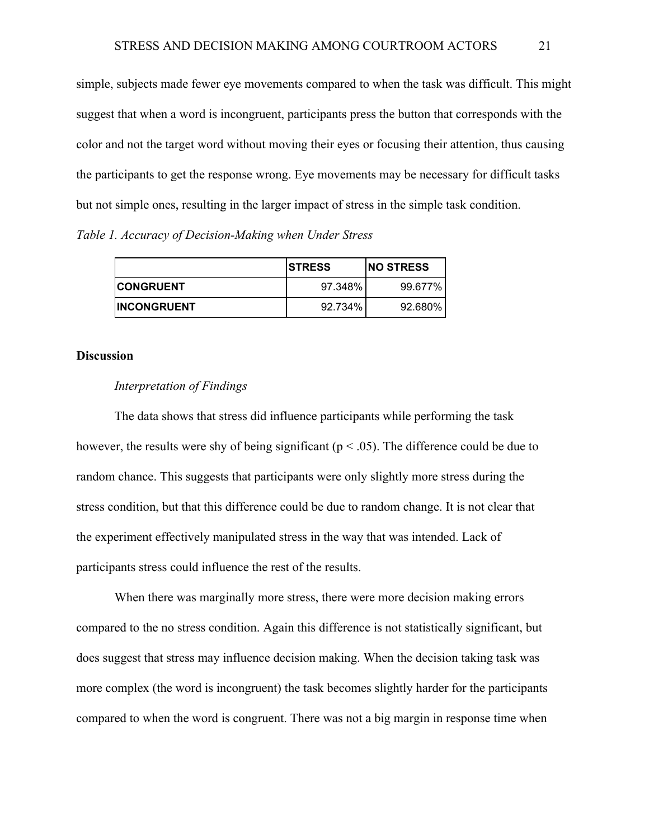simple, subjects made fewer eye movements compared to when the task was difficult. This might suggest that when a word is incongruent, participants press the button that corresponds with the color and not the target word without moving their eyes or focusing their attention, thus causing the participants to get the response wrong. Eye movements may be necessary for difficult tasks but not simple ones, resulting in the larger impact of stress in the simple task condition.

*Table 1. Accuracy of Decision-Making when Under Stress*

|                     | <b>ISTRESS</b> | <b>NO STRESS</b> |
|---------------------|----------------|------------------|
| <b>ICONGRUENT</b>   | 97.348%        | 99.677%          |
| <b>IINCONGRUENT</b> | 92.734%        | 92.680%          |

# **Discussion**

## *Interpretation of Findings*

The data shows that stress did influence participants while performing the task however, the results were shy of being significant ( $p < .05$ ). The difference could be due to random chance. This suggests that participants were only slightly more stress during the stress condition, but that this difference could be due to random change. It is not clear that the experiment effectively manipulated stress in the way that was intended. Lack of participants stress could influence the rest of the results.

When there was marginally more stress, there were more decision making errors compared to the no stress condition. Again this difference is not statistically significant, but does suggest that stress may influence decision making. When the decision taking task was more complex (the word is incongruent) the task becomes slightly harder for the participants compared to when the word is congruent. There was not a big margin in response time when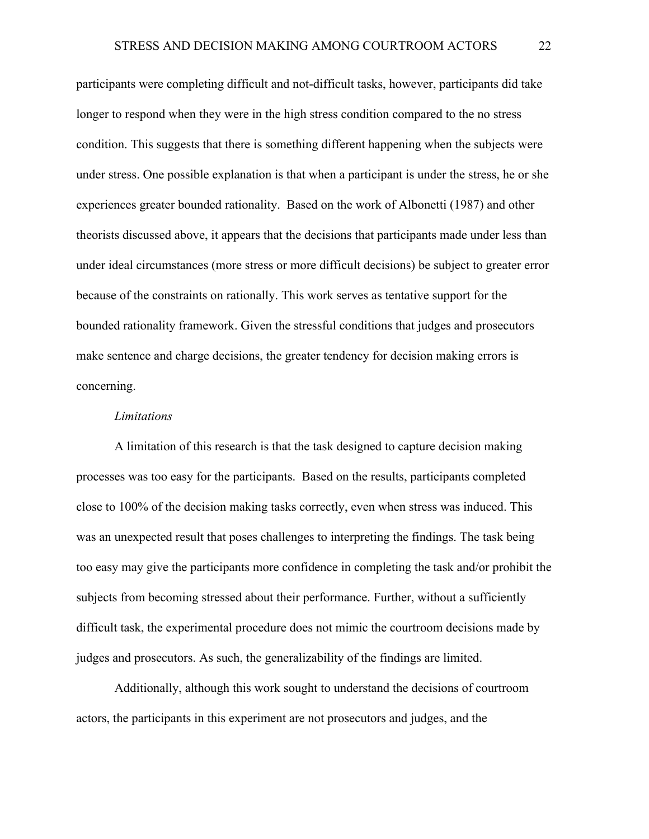participants were completing difficult and not-difficult tasks, however, participants did take longer to respond when they were in the high stress condition compared to the no stress condition. This suggests that there is something different happening when the subjects were under stress. One possible explanation is that when a participant is under the stress, he or she experiences greater bounded rationality. Based on the work of Albonetti (1987) and other theorists discussed above, it appears that the decisions that participants made under less than under ideal circumstances (more stress or more difficult decisions) be subject to greater error because of the constraints on rationally. This work serves as tentative support for the bounded rationality framework. Given the stressful conditions that judges and prosecutors make sentence and charge decisions, the greater tendency for decision making errors is concerning.

#### *Limitations*

A limitation of this research is that the task designed to capture decision making processes was too easy for the participants. Based on the results, participants completed close to 100% of the decision making tasks correctly, even when stress was induced. This was an unexpected result that poses challenges to interpreting the findings. The task being too easy may give the participants more confidence in completing the task and/or prohibit the subjects from becoming stressed about their performance. Further, without a sufficiently difficult task, the experimental procedure does not mimic the courtroom decisions made by judges and prosecutors. As such, the generalizability of the findings are limited.

Additionally, although this work sought to understand the decisions of courtroom actors, the participants in this experiment are not prosecutors and judges, and the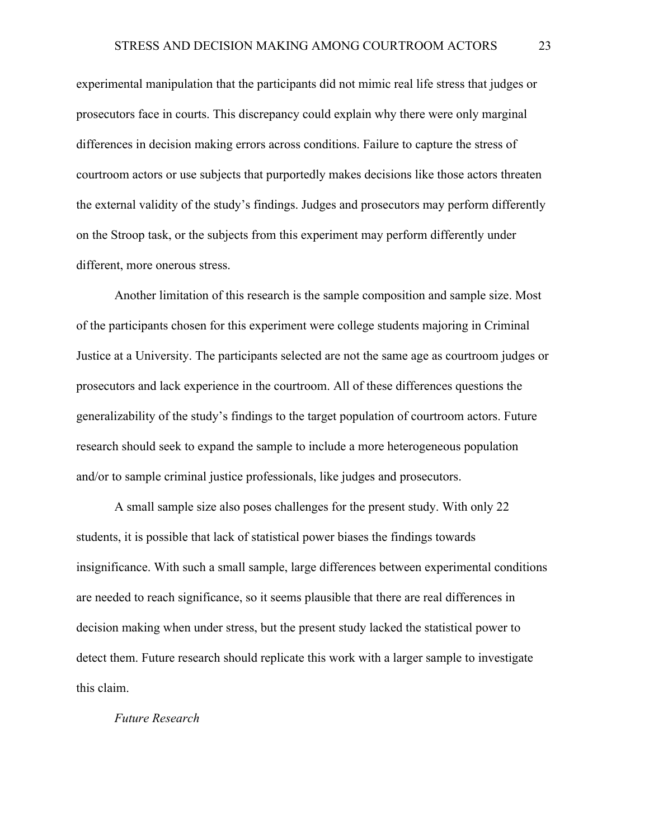experimental manipulation that the participants did not mimic real life stress that judges or prosecutors face in courts. This discrepancy could explain why there were only marginal differences in decision making errors across conditions. Failure to capture the stress of courtroom actors or use subjects that purportedly makes decisions like those actors threaten the external validity of the study's findings. Judges and prosecutors may perform differently on the Stroop task, or the subjects from this experiment may perform differently under different, more onerous stress.

Another limitation of this research is the sample composition and sample size. Most of the participants chosen for this experiment were college students majoring in Criminal Justice at a University. The participants selected are not the same age as courtroom judges or prosecutors and lack experience in the courtroom. All of these differences questions the generalizability of the study's findings to the target population of courtroom actors. Future research should seek to expand the sample to include a more heterogeneous population and/or to sample criminal justice professionals, like judges and prosecutors.

A small sample size also poses challenges for the present study. With only 22 students, it is possible that lack of statistical power biases the findings towards insignificance. With such a small sample, large differences between experimental conditions are needed to reach significance, so it seems plausible that there are real differences in decision making when under stress, but the present study lacked the statistical power to detect them. Future research should replicate this work with a larger sample to investigate this claim.

# *Future Research*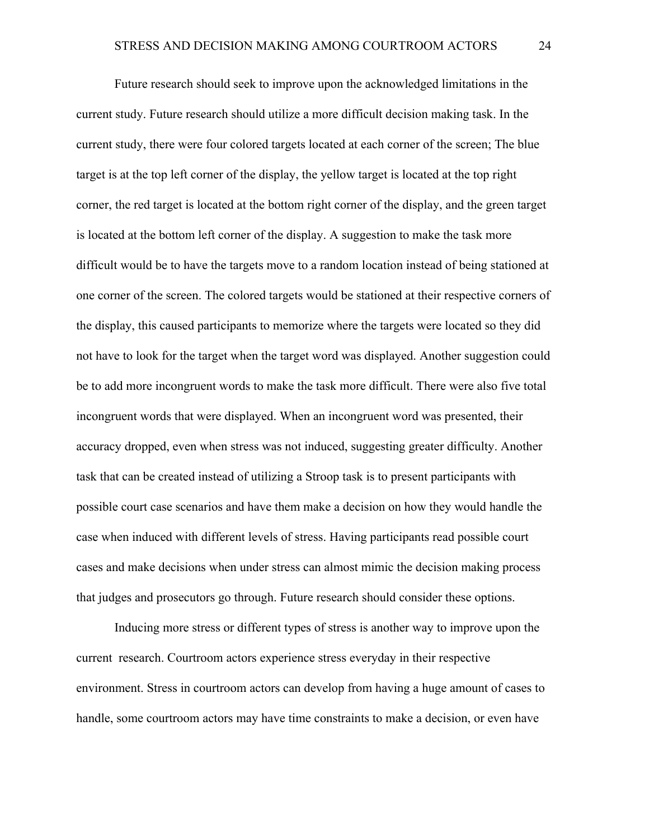Future research should seek to improve upon the acknowledged limitations in the current study. Future research should utilize a more difficult decision making task. In the current study, there were four colored targets located at each corner of the screen; The blue target is at the top left corner of the display, the yellow target is located at the top right corner, the red target is located at the bottom right corner of the display, and the green target is located at the bottom left corner of the display. A suggestion to make the task more difficult would be to have the targets move to a random location instead of being stationed at one corner of the screen. The colored targets would be stationed at their respective corners of the display, this caused participants to memorize where the targets were located so they did not have to look for the target when the target word was displayed. Another suggestion could be to add more incongruent words to make the task more difficult. There were also five total incongruent words that were displayed. When an incongruent word was presented, their accuracy dropped, even when stress was not induced, suggesting greater difficulty. Another task that can be created instead of utilizing a Stroop task is to present participants with possible court case scenarios and have them make a decision on how they would handle the case when induced with different levels of stress. Having participants read possible court cases and make decisions when under stress can almost mimic the decision making process that judges and prosecutors go through. Future research should consider these options.

Inducing more stress or different types of stress is another way to improve upon the current research. Courtroom actors experience stress everyday in their respective environment. Stress in courtroom actors can develop from having a huge amount of cases to handle, some courtroom actors may have time constraints to make a decision, or even have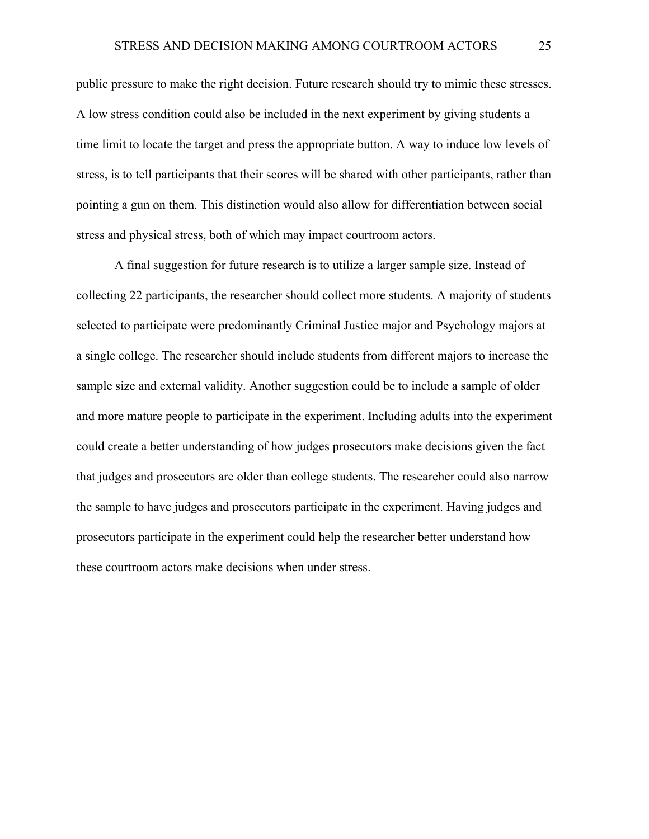public pressure to make the right decision. Future research should try to mimic these stresses. A low stress condition could also be included in the next experiment by giving students a time limit to locate the target and press the appropriate button. A way to induce low levels of stress, is to tell participants that their scores will be shared with other participants, rather than pointing a gun on them. This distinction would also allow for differentiation between social stress and physical stress, both of which may impact courtroom actors.

A final suggestion for future research is to utilize a larger sample size. Instead of collecting 22 participants, the researcher should collect more students. A majority of students selected to participate were predominantly Criminal Justice major and Psychology majors at a single college. The researcher should include students from different majors to increase the sample size and external validity. Another suggestion could be to include a sample of older and more mature people to participate in the experiment. Including adults into the experiment could create a better understanding of how judges prosecutors make decisions given the fact that judges and prosecutors are older than college students. The researcher could also narrow the sample to have judges and prosecutors participate in the experiment. Having judges and prosecutors participate in the experiment could help the researcher better understand how these courtroom actors make decisions when under stress.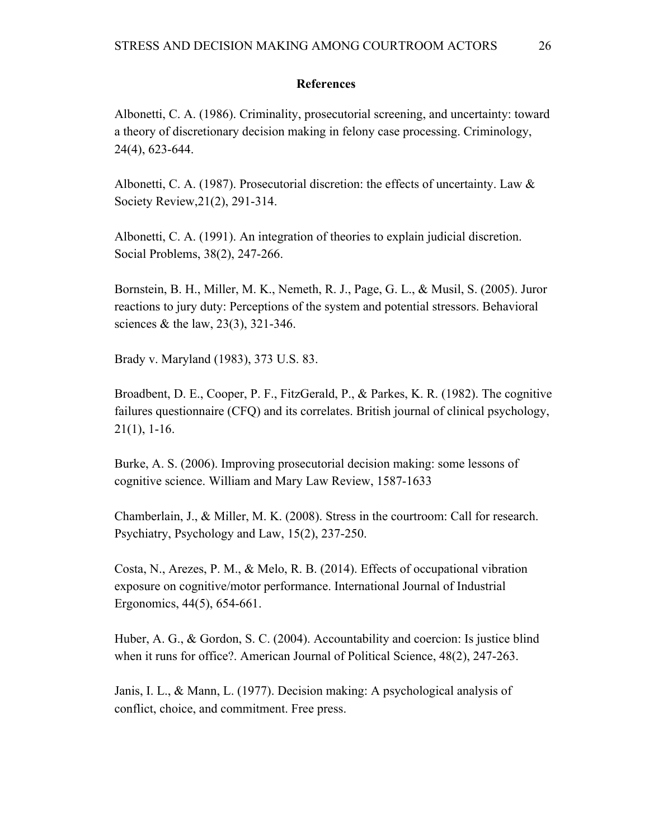# **References**

Albonetti, C. A. (1986). Criminality, prosecutorial screening, and uncertainty: toward a theory of discretionary decision making in felony case processing. Criminology, 24(4), 623-644.

Albonetti, C. A. (1987). Prosecutorial discretion: the effects of uncertainty. Law  $\&$ Society Review,21(2), 291-314.

Albonetti, C. A. (1991). An integration of theories to explain judicial discretion. Social Problems, 38(2), 247-266.

Bornstein, B. H., Miller, M. K., Nemeth, R. J., Page, G. L., & Musil, S. (2005). Juror reactions to jury duty: Perceptions of the system and potential stressors. Behavioral sciences & the law, 23(3), 321-346.

Brady v. Maryland (1983), 373 U.S. 83.

Broadbent, D. E., Cooper, P. F., FitzGerald, P., & Parkes, K. R. (1982). The cognitive failures questionnaire (CFQ) and its correlates. British journal of clinical psychology,  $21(1)$ , 1-16.

Burke, A. S. (2006). Improving prosecutorial decision making: some lessons of cognitive science. William and Mary Law Review, 1587-1633

Chamberlain, J., & Miller, M. K. (2008). Stress in the courtroom: Call for research. Psychiatry, Psychology and Law, 15(2), 237-250.

Costa, N., Arezes, P. M., & Melo, R. B. (2014). Effects of occupational vibration exposure on cognitive/motor performance. International Journal of Industrial Ergonomics, 44(5), 654-661.

Huber, A. G., & Gordon, S. C. (2004). Accountability and coercion: Is justice blind when it runs for office?. American Journal of Political Science, 48(2), 247-263.

Janis, I. L., & Mann, L. (1977). Decision making: A psychological analysis of conflict, choice, and commitment. Free press.